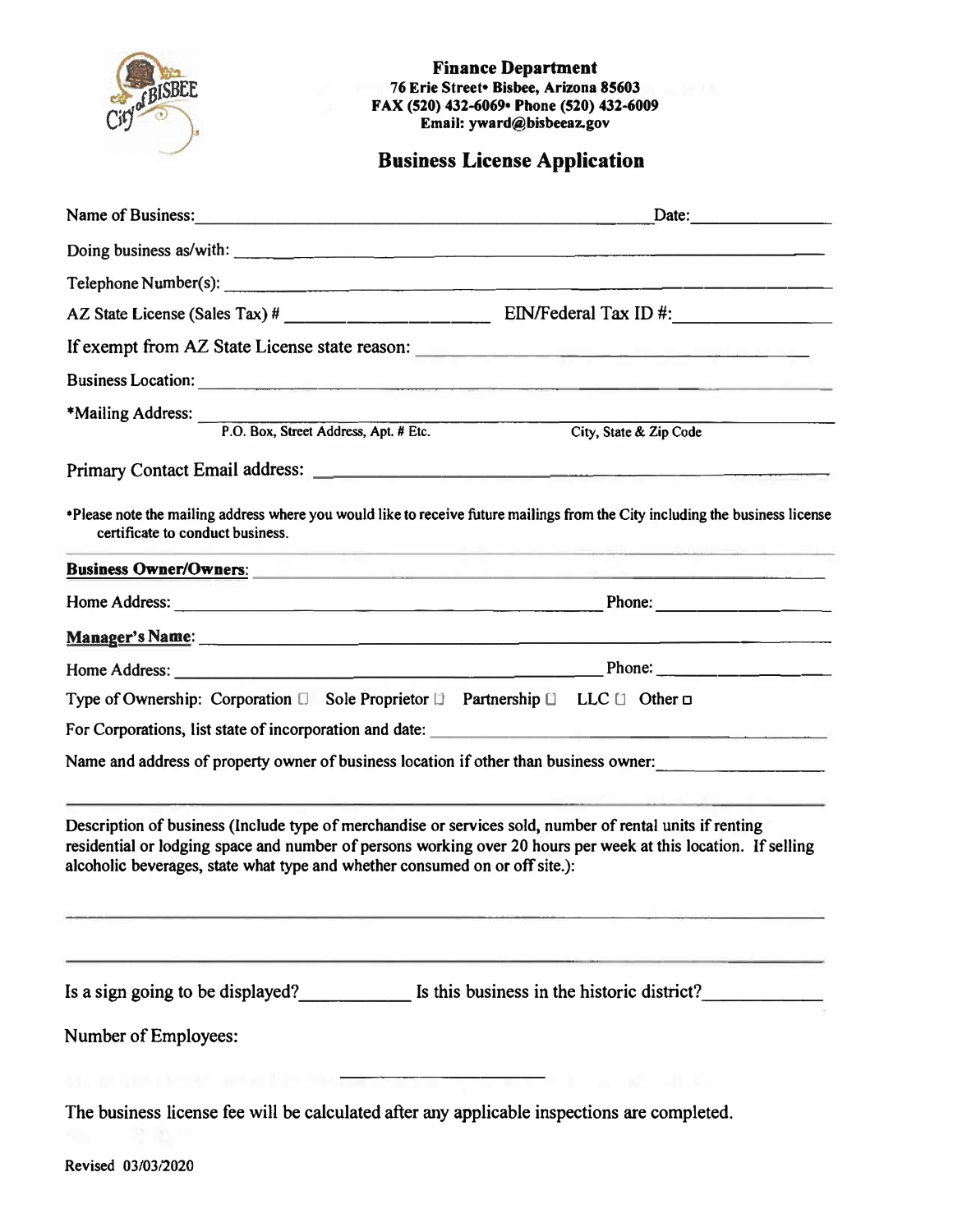| <b>BISBEF</b>                                                               | <b>Finance Department</b><br>76 Erie Street • Bisbee, Arizona 85603<br>FAX (520) 432-6069 Phone (520) 432-6009<br>Email: yward@bisbeeaz.gov                                                                                                      |
|-----------------------------------------------------------------------------|--------------------------------------------------------------------------------------------------------------------------------------------------------------------------------------------------------------------------------------------------|
|                                                                             | <b>Business License Application</b>                                                                                                                                                                                                              |
|                                                                             | Date:                                                                                                                                                                                                                                            |
|                                                                             | Doing business as/with:                                                                                                                                                                                                                          |
|                                                                             |                                                                                                                                                                                                                                                  |
|                                                                             |                                                                                                                                                                                                                                                  |
|                                                                             | If exempt from AZ State License state reason:                                                                                                                                                                                                    |
|                                                                             |                                                                                                                                                                                                                                                  |
| *Mailing Address: P.O. Box, Street Address, Apt. # Etc.                     | City, State & Zip Code                                                                                                                                                                                                                           |
|                                                                             |                                                                                                                                                                                                                                                  |
| certificate to conduct business.                                            | *Please note the mailing address where you would like to receive future mailings from the City including the business license<br>the contract of the contract of the contract of the contract of the contract of the contract of the contract of |
|                                                                             | Business Owner/Owners: 2008 and 2008 and 2008 and 2008 and 2008 and 2008 and 2008 and 2008 and 2008 and 2008 and 2008 and 2008 and 2008 and 2008 and 2008 and 2008 and 2008 and 2008 and 2008 and 2008 and 2008 and 2008 and 2                   |
|                                                                             |                                                                                                                                                                                                                                                  |
|                                                                             |                                                                                                                                                                                                                                                  |
|                                                                             |                                                                                                                                                                                                                                                  |
|                                                                             | Type of Ownership: Corporation $\square$ Sole Proprietor $\square$ Partnership $\square$ LLC $\square$ Other $\square$                                                                                                                           |
| For Corporations, list state of incorporation and date:                     |                                                                                                                                                                                                                                                  |
|                                                                             | Name and address of property owner of business location if other than business owner:                                                                                                                                                            |
| alcoholic beverages, state what type and whether consumed on or off site.): | Description of business (Include type of merchandise or services sold, number of rental units if renting<br>residential or lodging space and number of persons working over 20 hours per week at this location. If selling                       |
| Number of Employees:                                                        | Is a sign going to be displayed?<br>Is this business in the historic district?                                                                                                                                                                   |
|                                                                             | The business license fee will be calculated after any applicable inspections are completed.                                                                                                                                                      |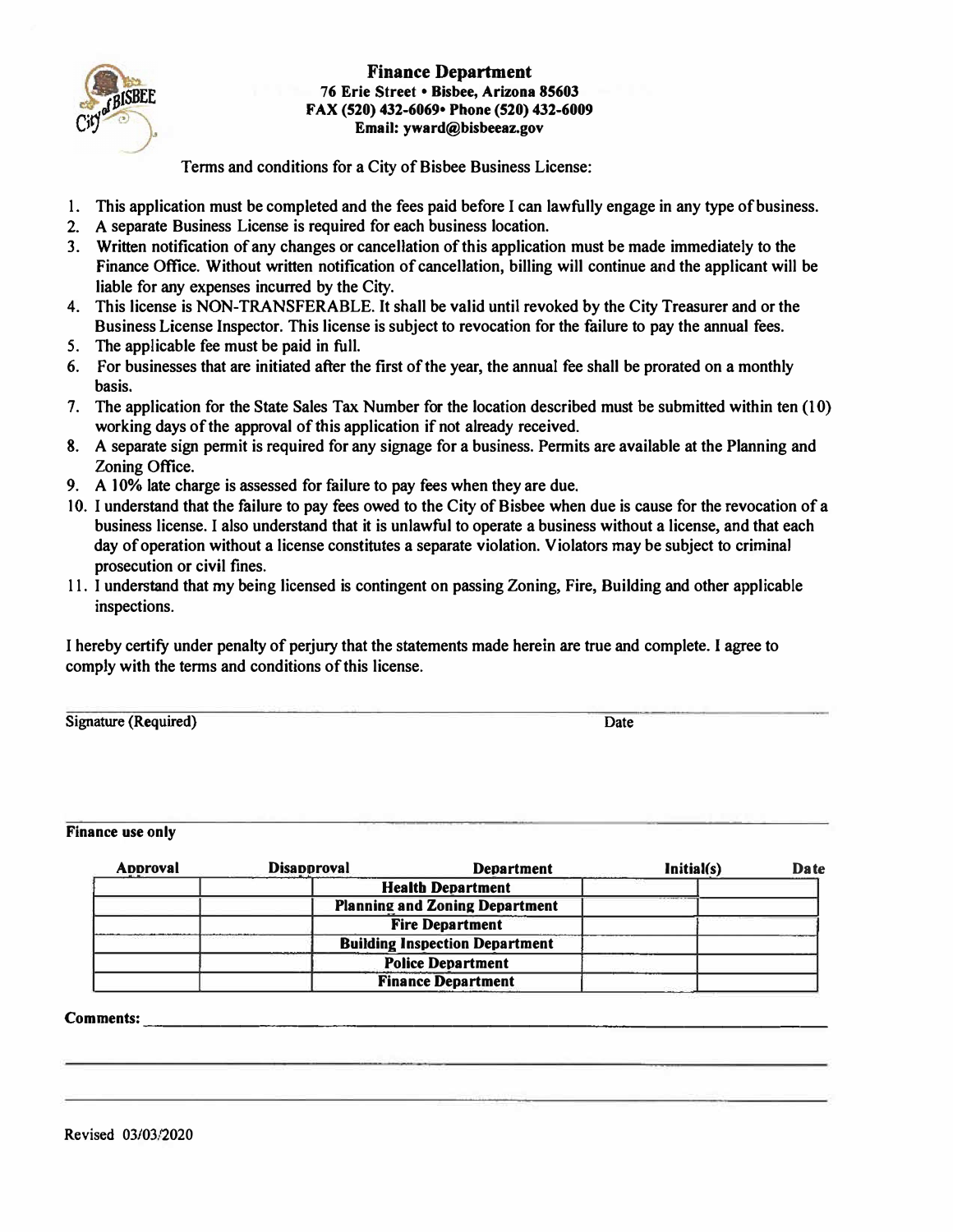

## **Finance Department 76 Erie Street • Bisbee, Arizona 85603 FAX (520) 432-6069• Phone (520) 432-6009 Email: yward@bisbeeaz.gov**

Terms and conditions for a City of Bisbee Business License:

- **1. This application must be completed and the fees paid before I can lawfully engage in any type of business.**
- **2. A separate Business License is required for each business location.**
- **3. Written notification of any changes or cancellation of this application must be made immediately to the** Finance Office. Without written notification of cancellation, billing will continue and the applicant will be **liable for any expenses incurred by the City.**
- **4. This license is NON-TRANSFERABLE. It shall be valid until revoked by the City Treasurer and or the Business License Inspector. This license is subject to revocation for the failure to pay the annual fees.**
- *5.* **The applicable fee must be paid in full.**
- **6. For businesses that are initiated after the first of the year, the annual fee shall be prorated on a monthly basis.**
- **7. The application for the State Sales Tax Number for the location described must be submitted within ten (l 0) working days of the approval of this application if not already received.**
- **8. A separate sign permit is required for any signage for a business. Permits are available at the Planning and Zoning Office.**
- **9. A 10% late charge is assessed for failure to pay fees when they are due.**
- **10. I understand that the failure to pay fees owed to the City of Bisbee when due is cause for the revocation of a business license. I also understand that it is unlawful to operate a business without a license, and that each day of operation without a license constitutes a separate violation. Violators may be subject to criminal prosecution or civil fines.**
- **11. I understand that my being licensed is contingent on passing Zoning, Fire, Building and other applicable inspections.**

**I hereby certify under penalty of perjury that the statements made herein are true and complete. I agree to comply with the terms and conditions of this license.** 

**Signature (Required) Date** 

## **Finance use only**

| <b>Approval</b> | <b>Disapproval</b> | <b>Department</b>                     | Initial(s) | <b>Date</b> |
|-----------------|--------------------|---------------------------------------|------------|-------------|
|                 |                    | <b>Health Department</b>              |            |             |
|                 |                    | <b>Planning and Zoning Department</b> |            |             |
|                 |                    | <b>Fire Department</b>                |            |             |
|                 |                    | <b>Building Inspection Department</b> |            |             |
|                 |                    | <b>Police Department</b>              |            |             |
|                 |                    | <b>Finance Department</b>             |            |             |

## **Comments:**  -----------------------------------

**Revised 03/03/2020**